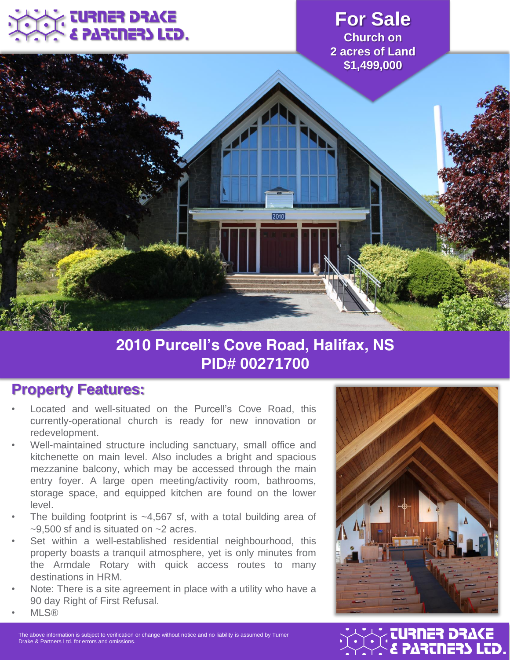# URNER DRAKE **ARTNERS LTD.**

#### **For Sale Church on 2 acres of Land \$1,499,000**



# **2010 Purcell's Cove Road, Halifax, NS PID# 00271700**

### **Property Features:**

- Located and well-situated on the Purcell's Cove Road, this currently-operational church is ready for new innovation or redevelopment.
- Well-maintained structure including sanctuary, small office and kitchenette on main level. Also includes a bright and spacious mezzanine balcony, which may be accessed through the main entry foyer. A large open meeting/activity room, bathrooms, storage space, and equipped kitchen are found on the lower level.
- The building footprint is  $-4,567$  sf, with a total building area of  $\approx$ 9.500 sf and is situated on  $\approx$  2 acres.
- Set within a well-established residential neighbourhood, this property boasts a tranquil atmosphere, yet is only minutes from the Armdale Rotary with quick access routes to many destinations in HRM.
- *Note: There is a site agreement in place with a utility who have a 90 day Right of First Refusal.* • MLS®



The above information is subject to verification or change without notice and no liability is assumed by Turner<br>Drake & Partners Ltd. for errors and omissions.